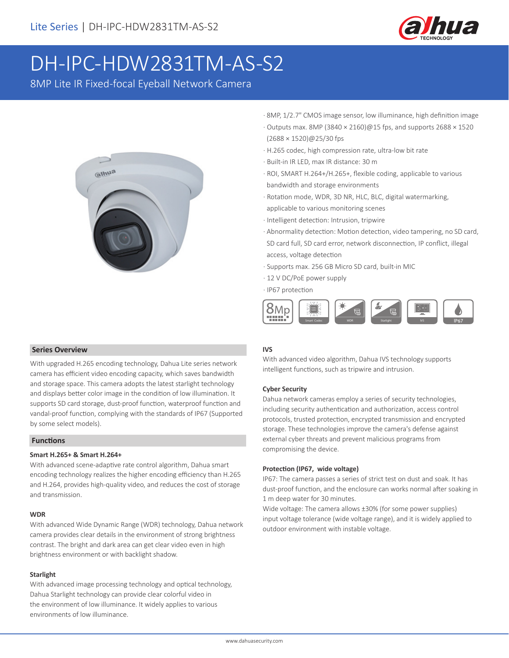

# DH-IPC-HDW2831TM-AS-S2

8MP Lite IR Fixed-focal Eyeball Network Camera



- · 8MP, 1/2.7" CMOS image sensor, low illuminance, high definition image
- · Outputs max. 8MP (3840 × 2160)@15 fps, and supports 2688 × 1520 (2688 × 1520)@25/30 fps
- · H.265 codec, high compression rate, ultra-low bit rate
- · Built-in IR LED, max IR distance: 30 m
- · ROI, SMART H.264+/H.265+, flexible coding, applicable to various bandwidth and storage environments
- · Rotation mode, WDR, 3D NR, HLC, BLC, digital watermarking, applicable to various monitoring scenes
- · Intelligent detection: Intrusion, tripwire
- · Abnormality detection: Motion detection, video tampering, no SD card, SD card full, SD card error, network disconnection, IP conflict, illegal access, voltage detection
- · Supports max. 256 GB Micro SD card, built-in MIC
- · 12 V DC/PoE power supply
- · IP67 protection



#### **IVS**

With advanced video algorithm, Dahua IVS technology supports intelligent functions, such as tripwire and intrusion.

#### **Cyber Security**

Dahua network cameras employ a series of security technologies, including security authentication and authorization, access control protocols, trusted protection, encrypted transmission and encrypted storage. These technologies improve the camera's defense against external cyber threats and prevent malicious programs from compromising the device.

#### **Protection (IP67, wide voltage)**

IP67: The camera passes a series of strict test on dust and soak. It has dust-proof function, and the enclosure can works normal after soaking in 1 m deep water for 30 minutes.

Wide voltage: The camera allows ±30% (for some power supplies) input voltage tolerance (wide voltage range), and it is widely applied to outdoor environment with instable voltage.

#### **Series Overview**

With upgraded H.265 encoding technology, Dahua Lite series network camera has efficient video encoding capacity, which saves bandwidth and storage space. This camera adopts the latest starlight technology and displays better color image in the condition of low illumination. It supports SD card storage, dust-proof function, waterproof function and vandal-proof function, complying with the standards of IP67 (Supported by some select models).

#### **Functions**

#### **Smart H.265+ & Smart H.264+**

With advanced scene-adaptive rate control algorithm, Dahua smart encoding technology realizes the higher encoding efficiency than H.265 and H.264, provides high-quality video, and reduces the cost of storage and transmission.

#### **WDR**

With advanced Wide Dynamic Range (WDR) technology, Dahua network camera provides clear details in the environment of strong brightness contrast. The bright and dark area can get clear video even in high brightness environment or with backlight shadow.

#### **Starlight**

With advanced image processing technology and optical technology, Dahua Starlight technology can provide clear colorful video in the environment of low illuminance. It widely applies to various environments of low illuminance.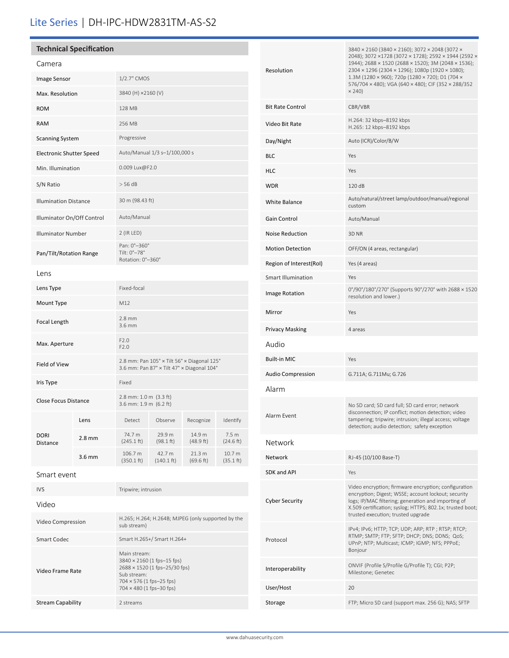# Lite Series | DH-IPC-HDW2831TM-AS-S2

Video Frame Rate

Stream Capability 2 streams

3840 × 2160 (1 fps–15 fps) 2688 × 1520 (1 fps–25/30 fps)

Sub stream: 704 × 576 (1 fps–25 fps) 704 × 480 (1 fps–30 fps)

| <b>Technical Specification</b>                  |                  |                                             |                                |                                                    |                               |                           | 3840 × 2160 (3840 × 2160); 3072 × 2048 (3072 ×                                                                                                                                                                     |
|-------------------------------------------------|------------------|---------------------------------------------|--------------------------------|----------------------------------------------------|-------------------------------|---------------------------|--------------------------------------------------------------------------------------------------------------------------------------------------------------------------------------------------------------------|
| Camera                                          |                  |                                             |                                |                                                    |                               |                           | 2048); 3072 ×1728 (3072 × 1728); 2592 × 1944 (2592 ×<br>1944); 2688 × 1520 (2688 × 1520); 3M (2048 × 1536);                                                                                                        |
| Image Sensor                                    |                  | 1/2.7" CMOS                                 |                                |                                                    |                               | Resolution                | 2304 × 1296 (2304 × 1296); 1080p (1920 × 1080);<br>1.3M (1280 × 960); 720p (1280 × 720); D1 (704 ×<br>576/704 x 480); VGA (640 x 480); CIF (352 x 288/352                                                          |
| Max. Resolution                                 |                  | 3840 (H) ×2160 (V)                          |                                |                                                    |                               |                           | $\times$ 240)                                                                                                                                                                                                      |
| <b>ROM</b>                                      |                  | 128 MB                                      |                                |                                                    |                               | <b>Bit Rate Control</b>   | CBR/VBR                                                                                                                                                                                                            |
| <b>RAM</b>                                      |                  | 256 MB                                      |                                |                                                    |                               | Video Bit Rate            | H.264: 32 kbps-8192 kbps<br>H.265: 12 kbps-8192 kbps                                                                                                                                                               |
| <b>Scanning System</b>                          |                  | Progressive                                 |                                |                                                    |                               | Day/Night                 | Auto (ICR)/Color/B/W                                                                                                                                                                                               |
| <b>Electronic Shutter Speed</b>                 |                  | Auto/Manual 1/3 s-1/100,000 s               |                                |                                                    |                               | <b>BLC</b>                | Yes                                                                                                                                                                                                                |
| Min. Illumination                               |                  | 0.009 Lux@F2.0                              |                                |                                                    |                               | <b>HLC</b>                | Yes                                                                                                                                                                                                                |
| S/N Ratio                                       |                  | $>$ 56 dB                                   |                                |                                                    |                               | <b>WDR</b>                | 120 dB                                                                                                                                                                                                             |
| <b>Illumination Distance</b>                    |                  | 30 m (98.43 ft)                             |                                |                                                    |                               | <b>White Balance</b>      | Auto/natural/street lamp/outdoor/manual/regional<br>custom                                                                                                                                                         |
| Illuminator On/Off Control                      |                  | Auto/Manual                                 |                                |                                                    |                               | Gain Control              | Auto/Manual                                                                                                                                                                                                        |
| <b>Illuminator Number</b>                       |                  | $2$ (IR LED)                                |                                |                                                    |                               | <b>Noise Reduction</b>    | 3D NR                                                                                                                                                                                                              |
| Pan/Tilt/Rotation Range                         |                  | Pan: 0°-360°<br>Tilt: 0°-78°                |                                |                                                    |                               | <b>Motion Detection</b>   | OFF/ON (4 areas, rectangular)                                                                                                                                                                                      |
|                                                 |                  | Rotation: 0°-360°                           |                                |                                                    |                               | Region of Interest(RoI)   | Yes (4 areas)                                                                                                                                                                                                      |
| Lens                                            |                  |                                             |                                |                                                    |                               | <b>Smart Illumination</b> | Yes                                                                                                                                                                                                                |
| Lens Type                                       |                  | Fixed-focal                                 |                                |                                                    |                               | Image Rotation            | 0°/90°/180°/270° (Supports 90°/270° with 2688 × 1520<br>resolution and lower.)                                                                                                                                     |
| Mount Type                                      |                  | M12                                         |                                |                                                    |                               | Mirror                    | Yes                                                                                                                                                                                                                |
| Focal Length                                    |                  | 2.8 mm<br>3.6 mm                            |                                |                                                    |                               | <b>Privacy Masking</b>    | 4 areas                                                                                                                                                                                                            |
| Max. Aperture                                   |                  | F2.0<br>F2.0                                |                                |                                                    |                               | Audio                     |                                                                                                                                                                                                                    |
| Field of View                                   |                  | 2.8 mm: Pan 105° x Tilt 56° x Diagonal 125° |                                |                                                    |                               | <b>Built-in MIC</b>       | Yes                                                                                                                                                                                                                |
|                                                 |                  | 3.6 mm: Pan 87° x Tilt 47° x Diagonal 104°  |                                |                                                    |                               | <b>Audio Compression</b>  | G.711A; G.711Mu; G.726                                                                                                                                                                                             |
| Iris Type                                       |                  | Fixed<br>2.8 mm: 1.0 m (3.3 ft)             |                                |                                                    |                               | Alarm                     |                                                                                                                                                                                                                    |
| Close Focus Distance<br><b>DORI</b><br>Distance | Lens             | 3.6 mm: 1.9 m (6.2 ft)<br>Detect            | Observe                        | Recognize                                          | Identify                      | Alarm Event               | No SD card; SD card full; SD card error; network<br>disconnection; IP conflict; motion detection; video<br>tampering; tripwire; intrusion; illegal access; voltage<br>detection; audio detection; safety exception |
|                                                 | $2.8 \text{ mm}$ | 74.7 m<br>(245.1 ft)                        | 29.9 m<br>(98.1 ft)            | 14.9 m<br>(48.9 ft)                                | 7.5 <sub>m</sub><br>(24.6 ft) | Network                   |                                                                                                                                                                                                                    |
|                                                 | $3.6$ mm         | 106.7 m<br>(350.1 ft)                       | 42.7 m<br>$(140.1 \text{ ft})$ | 21.3 m<br>(69.6 ft)                                | 10.7 m<br>(35.1 ft)           | Network                   | RJ-45 (10/100 Base-T)                                                                                                                                                                                              |
| Smart event                                     |                  |                                             |                                |                                                    |                               | SDK and API               | Yes                                                                                                                                                                                                                |
| <b>IVS</b>                                      |                  | Tripwire; intrusion                         |                                |                                                    |                               |                           | Video encryption; firmware encryption; configuration<br>encryption; Digest; WSSE; account lockout; security                                                                                                        |
| Video                                           |                  |                                             |                                |                                                    |                               | <b>Cyber Security</b>     | logs; IP/MAC filtering; generation and importing of<br>X.509 certification; syslog; HTTPS; 802.1x; trusted boot;                                                                                                   |
| Video Compression                               |                  | sub stream)                                 |                                | H.265; H.264; H.264B; MJPEG (only supported by the |                               |                           | trusted execution; trusted upgrade<br>IPv4; IPv6; HTTP; TCP; UDP; ARP; RTP; RTSP; RTCP;<br>RTMP; SMTP; FTP; SFTP; DHCP; DNS; DDNS; QoS;<br>UPnP; NTP; Multicast; ICMP; IGMP; NFS; PPPoE;                           |
| Smart Codec                                     |                  |                                             | Smart H.265+/ Smart H.264+     |                                                    |                               | Protocol                  |                                                                                                                                                                                                                    |
|                                                 |                  | Main stream:                                |                                |                                                    |                               |                           | Bonjour                                                                                                                                                                                                            |

Interoperability ONVIF (Profile S/Profile G/Profile T); CGI; P2P; Milestone; Genetec

Storage FTP; Micro SD card (support max. 256 G); NAS; SFTP

User/Host 20